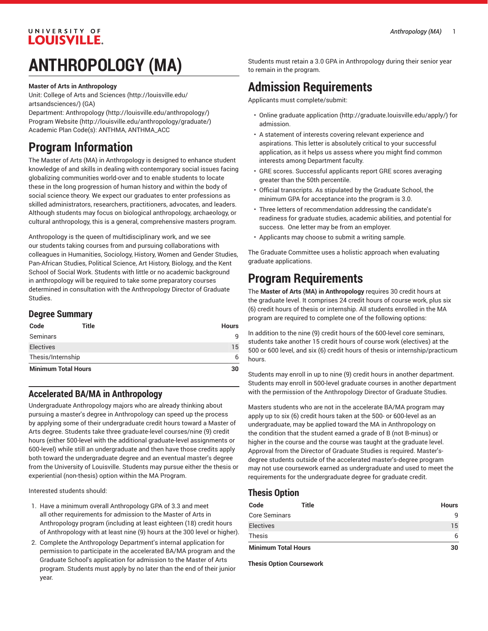### UNIVERSITY OF **LOUISVILLE.**

# **ANTHROPOLOGY (MA)**

#### **Master of Arts in Anthropology**

Unit: College of Arts and [Sciences \(http://louisville.edu/](http://louisville.edu/artsandsciences/) [artsandsciences/\)](http://louisville.edu/artsandsciences/) (GA)

Department: [Anthropology](http://louisville.edu/anthropology/) (<http://louisville.edu/anthropology/>) [Program](http://louisville.edu/anthropology/graduate/) Website [\(http://louisville.edu/anthropology/graduate/](http://louisville.edu/anthropology/graduate/)) Academic Plan Code(s): ANTHMA, ANTHMA\_ACC

## **Program Information**

The Master of Arts (MA) in Anthropology is designed to enhance student knowledge of and skills in dealing with contemporary social issues facing globalizing communities world-over and to enable students to locate these in the long progression of human history and within the body of social science theory. We expect our graduates to enter professions as skilled administrators, researchers, practitioners, advocates, and leaders. Although students may focus on biological anthropology, archaeology, or cultural anthropology, this is a general, comprehensive masters program.

Anthropology is the queen of multidisciplinary work, and we see our students taking courses from and pursuing collaborations with colleagues in Humanities, Sociology, History, Women and Gender Studies, Pan-African Studies, Political Science, Art History, Biology, and the Kent School of Social Work. Students with little or no academic background in anthropology will be required to take some preparatory courses determined in consultation with the Anthropology Director of Graduate Studies.

#### **Degree Summary**

| Code                       | Title | <b>Hours</b> |
|----------------------------|-------|--------------|
| Seminars                   |       | q            |
| <b>Electives</b>           |       | 15           |
| Thesis/Internship          | 6     |              |
| <b>Minimum Total Hours</b> |       | 30           |

### **Accelerated BA/MA in Anthropology**

Undergraduate Anthropology majors who are already thinking about pursuing a master's degree in Anthropology can speed up the process by applying some of their undergraduate credit hours toward a Master of Arts degree. Students take three graduate-level courses/nine (9) credit hours (either 500-level with the additional graduate-level assignments or 600-level) while still an undergraduate and then have those credits apply both toward the undergraduate degree and an eventual master's degree from the University of Louisville. Students may pursue either the thesis or experiential (non-thesis) option within the MA Program.

Interested students should:

- 1. Have a minimum overall Anthropology GPA of 3.3 and meet all other requirements for admission to the Master of Arts in Anthropology program (including at least eighteen (18) credit hours of Anthropology with at least nine (9) hours at the 300 level or higher).
- 2. Complete the Anthropology Department's internal application for permission to participate in the accelerated BA/MA program and the Graduate School's application for admission to the Master of Arts program. Students must apply by no later than the end of their junior year.

Students must retain a 3.0 GPA in Anthropology during their senior year to remain in the program.

## **Admission Requirements**

Applicants must complete/submit:

- [Online graduate application](http://graduate.louisville.edu/apply/) ([http://graduate.louisville.edu/apply/\)](http://graduate.louisville.edu/apply/) for admission.
- A statement of interests covering relevant experience and aspirations. This letter is absolutely critical to your successful application, as it helps us assess where you might find common interests among Department faculty.
- GRE scores. Successful applicants report GRE scores averaging greater than the 50th percentile.
- Official transcripts. As stipulated by the Graduate School, the minimum GPA for acceptance into the program is 3.0.
- Three letters of recommendation addressing the candidate's readiness for graduate studies, academic abilities, and potential for success. One letter may be from an employer.
- Applicants may choose to submit a writing sample.

The Graduate Committee uses a holistic approach when evaluating graduate applications.

## **Program Requirements**

The **Master of Arts (MA) in Anthropology** requires 30 credit hours at the graduate level. It comprises 24 credit hours of course work, plus six (6) credit hours of thesis or internship. All students enrolled in the MA program are required to complete one of the following options:

In addition to the nine (9) credit hours of the 600-level core seminars, students take another 15 credit hours of course work (electives) at the 500 or 600 level, and six (6) credit hours of thesis or internship/practicum hours.

Students may enroll in up to nine (9) credit hours in another department. Students may enroll in 500-level graduate courses in another department with the permission of the Anthropology Director of Graduate Studies.

Masters students who are not in the accelerate BA/MA program may apply up to six (6) credit hours taken at the 500- or 600-level as an undergraduate, may be applied toward the MA in Anthropology on the condition that the student earned a grade of B (not B-minus) or higher in the course and the course was taught at the graduate level. Approval from the Director of Graduate Studies is required. Master'sdegree students outside of the accelerated master's-degree program may not use coursework earned as undergraduate and used to meet the requirements for the undergraduate degree for graduate credit.

### **Thesis Option**

| Code                       | Title | <b>Hours</b> |
|----------------------------|-------|--------------|
| <b>Core Seminars</b>       |       | q            |
| <b>Electives</b>           |       | 15           |
| <b>Thesis</b>              |       |              |
| <b>Minimum Total Hours</b> |       | 30           |

**Thesis Option Coursework**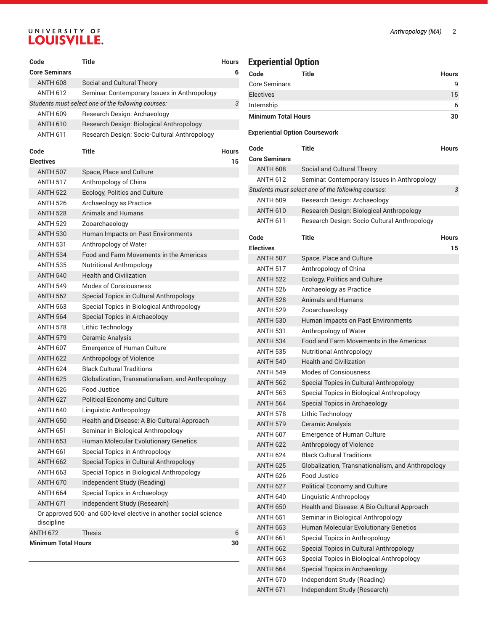# UNIVERSITY OF LOUISVILLE.

| Code                               | <b>Title</b>                                                      | <b>Hours</b> |  |
|------------------------------------|-------------------------------------------------------------------|--------------|--|
| <b>Core Seminars</b>               |                                                                   | 6            |  |
| <b>ANTH 608</b>                    | Social and Cultural Theory                                        |              |  |
| <b>ANTH 612</b>                    | Seminar: Contemporary Issues in Anthropology                      |              |  |
|                                    | Students must select one of the following courses:                | 3            |  |
| <b>ANTH 609</b>                    | Research Design: Archaeology                                      |              |  |
| <b>ANTH 610</b>                    | Research Design: Biological Anthropology                          |              |  |
| <b>ANTH 611</b>                    | Research Design: Socio-Cultural Anthropology                      |              |  |
|                                    |                                                                   |              |  |
| Code<br><b>Electives</b>           | Title                                                             | <b>Hours</b> |  |
| <b>ANTH 507</b>                    |                                                                   | 15           |  |
|                                    | Space, Place and Culture                                          |              |  |
| ANTH 517                           | Anthropology of China                                             |              |  |
| <b>ANTH 522</b>                    | Ecology, Politics and Culture                                     |              |  |
| <b>ANTH 526</b><br><b>ANTH 528</b> | Archaeology as Practice<br>Animals and Humans                     |              |  |
|                                    |                                                                   |              |  |
| <b>ANTH 529</b>                    | Zooarchaeology                                                    |              |  |
| <b>ANTH 530</b>                    | Human Impacts on Past Environments                                |              |  |
| <b>ANTH 531</b>                    | Anthropology of Water                                             |              |  |
| <b>ANTH 534</b>                    | Food and Farm Movements in the Americas                           |              |  |
| <b>ANTH 535</b>                    | <b>Nutritional Anthropology</b>                                   |              |  |
| <b>ANTH 540</b>                    | <b>Health and Civilization</b>                                    |              |  |
| <b>ANTH 549</b>                    | <b>Modes of Consiousness</b>                                      |              |  |
| <b>ANTH 562</b>                    | Special Topics in Cultural Anthropology                           |              |  |
| <b>ANTH 563</b>                    | Special Topics in Biological Anthropology                         |              |  |
| <b>ANTH 564</b>                    | Special Topics in Archaeology                                     |              |  |
| ANTH 578                           | Lithic Technology                                                 |              |  |
| <b>ANTH 579</b>                    | Ceramic Analysis                                                  |              |  |
| <b>ANTH 607</b>                    | <b>Emergence of Human Culture</b>                                 |              |  |
| <b>ANTH 622</b>                    | Anthropology of Violence                                          |              |  |
| ANTH 624                           | <b>Black Cultural Traditions</b>                                  |              |  |
| <b>ANTH 625</b>                    | Globalization, Transnationalism, and Anthropology                 |              |  |
| <b>ANTH 626</b>                    | Food Justice                                                      |              |  |
| <b>ANTH 627</b>                    | <b>Political Economy and Culture</b>                              |              |  |
| ANTH 640                           | Linguistic Anthropology                                           |              |  |
| <b>ANTH 650</b>                    | Health and Disease: A Bio-Cultural Approach                       |              |  |
| <b>ANTH 651</b>                    | Seminar in Biological Anthropology                                |              |  |
| <b>ANTH 653</b>                    | Human Molecular Evolutionary Genetics                             |              |  |
| ANTH 661                           | Special Topics in Anthropology                                    |              |  |
| <b>ANTH 662</b>                    | Special Topics in Cultural Anthropology                           |              |  |
| <b>ANTH 663</b>                    | Special Topics in Biological Anthropology                         |              |  |
| <b>ANTH 670</b>                    | Independent Study (Reading)                                       |              |  |
| <b>ANTH 664</b>                    | Special Topics in Archaeology                                     |              |  |
| <b>ANTH 671</b>                    | Independent Study (Research)                                      |              |  |
| discipline                         | Or approved 500- and 600-level elective in another social science |              |  |
| <b>ANTH 672</b>                    | <b>Thesis</b>                                                     | 6            |  |
| <b>Minimum Total Hours</b><br>30   |                                                                   |              |  |

## **Experiential Option**

| Code                       | Title | <b>Hours</b> |
|----------------------------|-------|--------------|
| <b>Core Seminars</b>       |       | 9            |
| <b>Electives</b>           |       | 15           |
| Internship                 |       | 6            |
| <b>Minimum Total Hours</b> |       | 30           |

#### **Experiential Option Coursework**

|                                                    | Code                 | Title                                             | <b>Hours</b> |  |  |
|----------------------------------------------------|----------------------|---------------------------------------------------|--------------|--|--|
|                                                    | <b>Core Seminars</b> |                                                   |              |  |  |
|                                                    | <b>ANTH 608</b>      | Social and Cultural Theory                        |              |  |  |
|                                                    | <b>ANTH 612</b>      | Seminar: Contemporary Issues in Anthropology      |              |  |  |
| Students must select one of the following courses: |                      |                                                   |              |  |  |
|                                                    | <b>ANTH 609</b>      | Research Design: Archaeology                      |              |  |  |
|                                                    | <b>ANTH 610</b>      | Research Design: Biological Anthropology          |              |  |  |
|                                                    | <b>ANTH 611</b>      | Research Design: Socio-Cultural Anthropology      |              |  |  |
|                                                    | Code                 | Title                                             | <b>Hours</b> |  |  |
|                                                    | <b>Electives</b>     |                                                   | 15           |  |  |
|                                                    | <b>ANTH 507</b>      | Space, Place and Culture                          |              |  |  |
|                                                    | <b>ANTH 517</b>      | Anthropology of China                             |              |  |  |
|                                                    | <b>ANTH 522</b>      | Ecology, Politics and Culture                     |              |  |  |
|                                                    | <b>ANTH 526</b>      | Archaeology as Practice                           |              |  |  |
|                                                    | <b>ANTH 528</b>      | Animals and Humans                                |              |  |  |
|                                                    | <b>ANTH 529</b>      | Zooarchaeology                                    |              |  |  |
|                                                    | <b>ANTH 530</b>      | Human Impacts on Past Environments                |              |  |  |
|                                                    | <b>ANTH 531</b>      | Anthropology of Water                             |              |  |  |
|                                                    | <b>ANTH 534</b>      | Food and Farm Movements in the Americas           |              |  |  |
|                                                    | <b>ANTH 535</b>      | Nutritional Anthropology                          |              |  |  |
|                                                    | <b>ANTH 540</b>      | <b>Health and Civilization</b>                    |              |  |  |
|                                                    | <b>ANTH 549</b>      | <b>Modes of Consiousness</b>                      |              |  |  |
|                                                    | <b>ANTH 562</b>      | Special Topics in Cultural Anthropology           |              |  |  |
|                                                    | <b>ANTH 563</b>      | Special Topics in Biological Anthropology         |              |  |  |
|                                                    | <b>ANTH 564</b>      | Special Topics in Archaeology                     |              |  |  |
|                                                    | <b>ANTH 578</b>      | Lithic Technology                                 |              |  |  |
|                                                    | <b>ANTH 579</b>      | Ceramic Analysis                                  |              |  |  |
|                                                    | <b>ANTH 607</b>      | Emergence of Human Culture                        |              |  |  |
|                                                    | <b>ANTH 622</b>      | Anthropology of Violence                          |              |  |  |
|                                                    | <b>ANTH 624</b>      | <b>Black Cultural Traditions</b>                  |              |  |  |
|                                                    | <b>ANTH 625</b>      | Globalization, Transnationalism, and Anthropology |              |  |  |
|                                                    | ANTH 626             | Food Justice                                      |              |  |  |
|                                                    | <b>ANTH 627</b>      | <b>Political Economy and Culture</b>              |              |  |  |
|                                                    | <b>ANTH 640</b>      | Linguistic Anthropology                           |              |  |  |
|                                                    | <b>ANTH 650</b>      | Health and Disease: A Bio-Cultural Approach       |              |  |  |
|                                                    | <b>ANTH 651</b>      | Seminar in Biological Anthropology                |              |  |  |
|                                                    | <b>ANTH 653</b>      | Human Molecular Evolutionary Genetics             |              |  |  |
|                                                    | <b>ANTH 661</b>      | Special Topics in Anthropology                    |              |  |  |
|                                                    | <b>ANTH 662</b>      | Special Topics in Cultural Anthropology           |              |  |  |
|                                                    | <b>ANTH 663</b>      | Special Topics in Biological Anthropology         |              |  |  |
|                                                    | <b>ANTH 664</b>      | Special Topics in Archaeology                     |              |  |  |
|                                                    | <b>ANTH 670</b>      | Independent Study (Reading)                       |              |  |  |
|                                                    | <b>ANTH 671</b>      | Independent Study (Research)                      |              |  |  |
|                                                    |                      |                                                   |              |  |  |